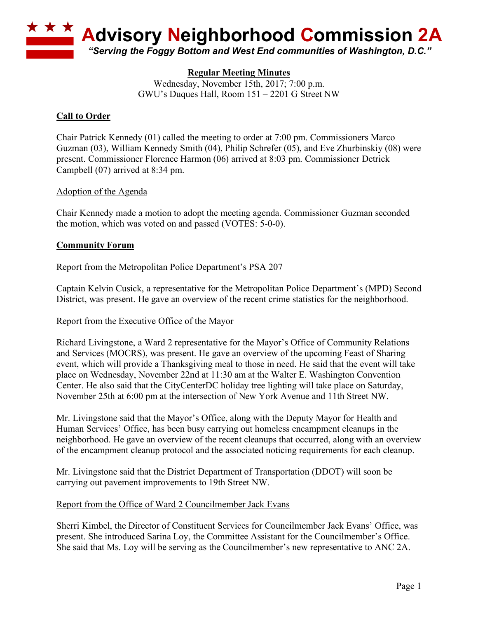

# **Regular Meeting Minutes**

Wednesday, November 15th, 2017; 7:00 p.m. GWU's Duques Hall, Room 151 – 2201 G Street NW

## **Call to Order**

Chair Patrick Kennedy (01) called the meeting to order at 7:00 pm. Commissioners Marco Guzman (03), William Kennedy Smith (04), Philip Schrefer (05), and Eve Zhurbinskiy (08) were present. Commissioner Florence Harmon (06) arrived at 8:03 pm. Commissioner Detrick Campbell (07) arrived at 8:34 pm.

## Adoption of the Agenda

Chair Kennedy made a motion to adopt the meeting agenda. Commissioner Guzman seconded the motion, which was voted on and passed (VOTES: 5-0-0).

## **Community Forum**

## Report from the Metropolitan Police Department's PSA 207

Captain Kelvin Cusick, a representative for the Metropolitan Police Department's (MPD) Second District, was present. He gave an overview of the recent crime statistics for the neighborhood.

### Report from the Executive Office of the Mayor

Richard Livingstone, a Ward 2 representative for the Mayor's Office of Community Relations and Services (MOCRS), was present. He gave an overview of the upcoming Feast of Sharing event, which will provide a Thanksgiving meal to those in need. He said that the event will take place on Wednesday, November 22nd at 11:30 am at the Walter E. Washington Convention Center. He also said that the CityCenterDC holiday tree lighting will take place on Saturday, November 25th at 6:00 pm at the intersection of New York Avenue and 11th Street NW.

Mr. Livingstone said that the Mayor's Office, along with the Deputy Mayor for Health and Human Services' Office, has been busy carrying out homeless encampment cleanups in the neighborhood. He gave an overview of the recent cleanups that occurred, along with an overview of the encampment cleanup protocol and the associated noticing requirements for each cleanup.

Mr. Livingstone said that the District Department of Transportation (DDOT) will soon be carrying out pavement improvements to 19th Street NW.

### Report from the Office of Ward 2 Councilmember Jack Evans

Sherri Kimbel, the Director of Constituent Services for Councilmember Jack Evans' Office, was present. She introduced Sarina Loy, the Committee Assistant for the Councilmember's Office. She said that Ms. Loy will be serving as the Councilmember's new representative to ANC 2A.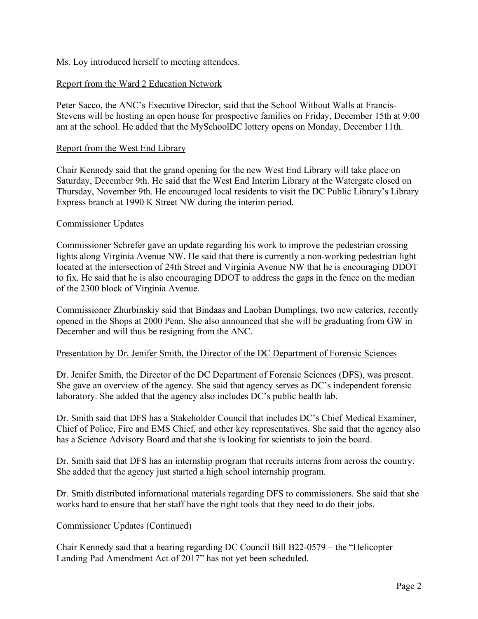### Ms. Loy introduced herself to meeting attendees.

## Report from the Ward 2 Education Network

Peter Sacco, the ANC's Executive Director, said that the School Without Walls at Francis-Stevens will be hosting an open house for prospective families on Friday, December 15th at 9:00 am at the school. He added that the MySchoolDC lottery opens on Monday, December 11th.

#### Report from the West End Library

Chair Kennedy said that the grand opening for the new West End Library will take place on Saturday, December 9th. He said that the West End Interim Library at the Watergate closed on Thursday, November 9th. He encouraged local residents to visit the DC Public Library's Library Express branch at 1990 K Street NW during the interim period.

#### Commissioner Updates

Commissioner Schrefer gave an update regarding his work to improve the pedestrian crossing lights along Virginia Avenue NW. He said that there is currently a non-working pedestrian light located at the intersection of 24th Street and Virginia Avenue NW that he is encouraging DDOT to fix. He said that he is also encouraging DDOT to address the gaps in the fence on the median of the 2300 block of Virginia Avenue.

Commissioner Zhurbinskiy said that Bindaas and Laoban Dumplings, two new eateries, recently opened in the Shops at 2000 Penn. She also announced that she will be graduating from GW in December and will thus be resigning from the ANC.

### Presentation by Dr. Jenifer Smith, the Director of the DC Department of Forensic Sciences

Dr. Jenifer Smith, the Director of the DC Department of Forensic Sciences (DFS), was present. She gave an overview of the agency. She said that agency serves as DC's independent forensic laboratory. She added that the agency also includes DC's public health lab.

Dr. Smith said that DFS has a Stakeholder Council that includes DC's Chief Medical Examiner, Chief of Police, Fire and EMS Chief, and other key representatives. She said that the agency also has a Science Advisory Board and that she is looking for scientists to join the board.

Dr. Smith said that DFS has an internship program that recruits interns from across the country. She added that the agency just started a high school internship program.

Dr. Smith distributed informational materials regarding DFS to commissioners. She said that she works hard to ensure that her staff have the right tools that they need to do their jobs.

### Commissioner Updates (Continued)

Chair Kennedy said that a hearing regarding DC Council Bill B22-0579 – the "Helicopter Landing Pad Amendment Act of 2017" has not yet been scheduled.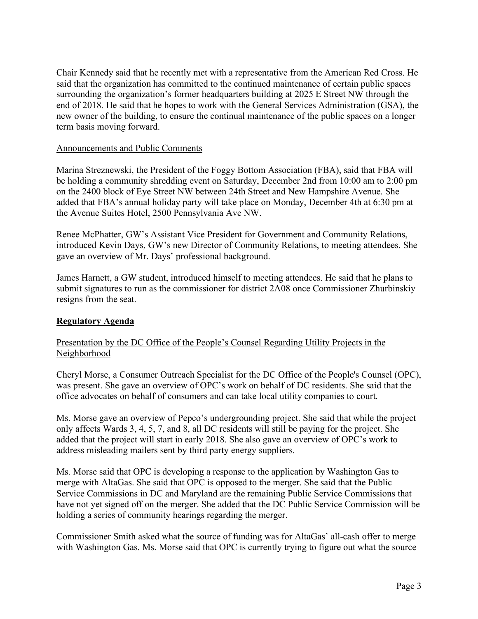Chair Kennedy said that he recently met with a representative from the American Red Cross. He said that the organization has committed to the continued maintenance of certain public spaces surrounding the organization's former headquarters building at 2025 E Street NW through the end of 2018. He said that he hopes to work with the General Services Administration (GSA), the new owner of the building, to ensure the continual maintenance of the public spaces on a longer term basis moving forward.

### Announcements and Public Comments

Marina Streznewski, the President of the Foggy Bottom Association (FBA), said that FBA will be holding a community shredding event on Saturday, December 2nd from 10:00 am to 2:00 pm on the 2400 block of Eye Street NW between 24th Street and New Hampshire Avenue. She added that FBA's annual holiday party will take place on Monday, December 4th at 6:30 pm at the Avenue Suites Hotel, 2500 Pennsylvania Ave NW.

Renee McPhatter, GW's Assistant Vice President for Government and Community Relations, introduced Kevin Days, GW's new Director of Community Relations, to meeting attendees. She gave an overview of Mr. Days' professional background.

James Harnett, a GW student, introduced himself to meeting attendees. He said that he plans to submit signatures to run as the commissioner for district 2A08 once Commissioner Zhurbinskiy resigns from the seat.

## **Regulatory Agenda**

## Presentation by the DC Office of the People's Counsel Regarding Utility Projects in the Neighborhood

Cheryl Morse, a Consumer Outreach Specialist for the DC Office of the People's Counsel (OPC), was present. She gave an overview of OPC's work on behalf of DC residents. She said that the office advocates on behalf of consumers and can take local utility companies to court.

Ms. Morse gave an overview of Pepco's undergrounding project. She said that while the project only affects Wards 3, 4, 5, 7, and 8, all DC residents will still be paying for the project. She added that the project will start in early 2018. She also gave an overview of OPC's work to address misleading mailers sent by third party energy suppliers.

Ms. Morse said that OPC is developing a response to the application by Washington Gas to merge with AltaGas. She said that OPC is opposed to the merger. She said that the Public Service Commissions in DC and Maryland are the remaining Public Service Commissions that have not yet signed off on the merger. She added that the DC Public Service Commission will be holding a series of community hearings regarding the merger.

Commissioner Smith asked what the source of funding was for AltaGas' all-cash offer to merge with Washington Gas. Ms. Morse said that OPC is currently trying to figure out what the source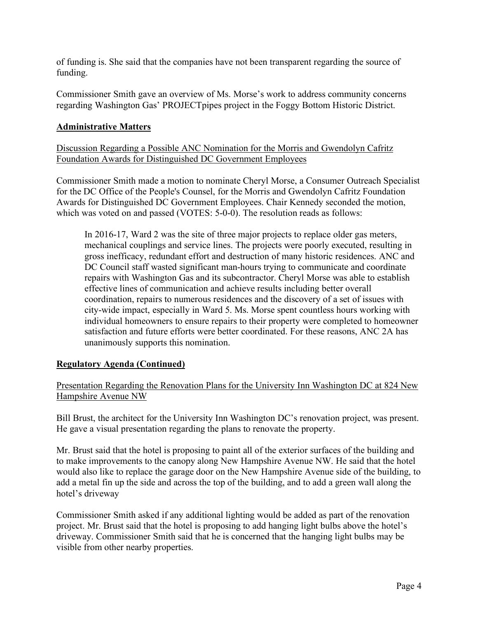of funding is. She said that the companies have not been transparent regarding the source of funding.

Commissioner Smith gave an overview of Ms. Morse's work to address community concerns regarding Washington Gas' PROJECTpipes project in the Foggy Bottom Historic District.

# **Administrative Matters**

Discussion Regarding a Possible ANC Nomination for the Morris and Gwendolyn Cafritz Foundation Awards for Distinguished DC Government Employees

Commissioner Smith made a motion to nominate Cheryl Morse, a Consumer Outreach Specialist for the DC Office of the People's Counsel, for the Morris and Gwendolyn Cafritz Foundation Awards for Distinguished DC Government Employees. Chair Kennedy seconded the motion, which was voted on and passed (VOTES: 5-0-0). The resolution reads as follows:

In 2016-17, Ward 2 was the site of three major projects to replace older gas meters, mechanical couplings and service lines. The projects were poorly executed, resulting in gross inefficacy, redundant effort and destruction of many historic residences. ANC and DC Council staff wasted significant man-hours trying to communicate and coordinate repairs with Washington Gas and its subcontractor. Cheryl Morse was able to establish effective lines of communication and achieve results including better overall coordination, repairs to numerous residences and the discovery of a set of issues with city-wide impact, especially in Ward 5. Ms. Morse spent countless hours working with individual homeowners to ensure repairs to their property were completed to homeowner satisfaction and future efforts were better coordinated. For these reasons, ANC 2A has unanimously supports this nomination.

## **Regulatory Agenda (Continued)**

Presentation Regarding the Renovation Plans for the University Inn Washington DC at 824 New Hampshire Avenue NW

Bill Brust, the architect for the University Inn Washington DC's renovation project, was present. He gave a visual presentation regarding the plans to renovate the property.

Mr. Brust said that the hotel is proposing to paint all of the exterior surfaces of the building and to make improvements to the canopy along New Hampshire Avenue NW. He said that the hotel would also like to replace the garage door on the New Hampshire Avenue side of the building, to add a metal fin up the side and across the top of the building, and to add a green wall along the hotel's driveway

Commissioner Smith asked if any additional lighting would be added as part of the renovation project. Mr. Brust said that the hotel is proposing to add hanging light bulbs above the hotel's driveway. Commissioner Smith said that he is concerned that the hanging light bulbs may be visible from other nearby properties.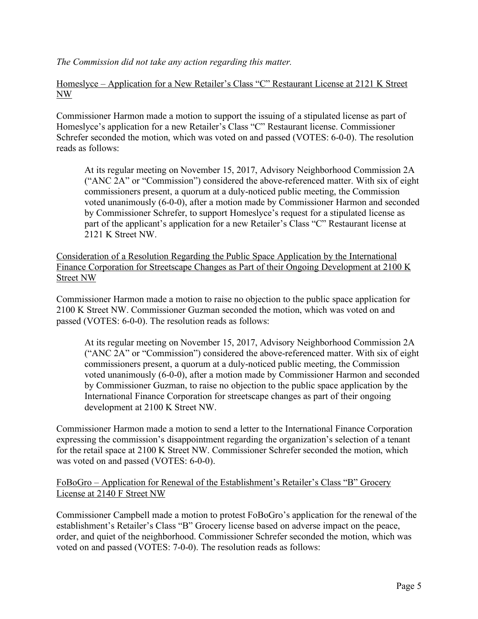*The Commission did not take any action regarding this matter.*

Homeslyce – Application for a New Retailer's Class "C" Restaurant License at 2121 K Street NW

Commissioner Harmon made a motion to support the issuing of a stipulated license as part of Homeslyce's application for a new Retailer's Class "C" Restaurant license. Commissioner Schrefer seconded the motion, which was voted on and passed (VOTES: 6-0-0). The resolution reads as follows:

At its regular meeting on November 15, 2017, Advisory Neighborhood Commission 2A ("ANC 2A" or "Commission") considered the above-referenced matter. With six of eight commissioners present, a quorum at a duly-noticed public meeting, the Commission voted unanimously (6-0-0), after a motion made by Commissioner Harmon and seconded by Commissioner Schrefer, to support Homeslyce's request for a stipulated license as part of the applicant's application for a new Retailer's Class "C" Restaurant license at 2121 K Street NW.

Consideration of a Resolution Regarding the Public Space Application by the International Finance Corporation for Streetscape Changes as Part of their Ongoing Development at 2100 K Street NW

Commissioner Harmon made a motion to raise no objection to the public space application for 2100 K Street NW. Commissioner Guzman seconded the motion, which was voted on and passed (VOTES: 6-0-0). The resolution reads as follows:

At its regular meeting on November 15, 2017, Advisory Neighborhood Commission 2A ("ANC 2A" or "Commission") considered the above-referenced matter. With six of eight commissioners present, a quorum at a duly-noticed public meeting, the Commission voted unanimously (6-0-0), after a motion made by Commissioner Harmon and seconded by Commissioner Guzman, to raise no objection to the public space application by the International Finance Corporation for streetscape changes as part of their ongoing development at 2100 K Street NW.

Commissioner Harmon made a motion to send a letter to the International Finance Corporation expressing the commission's disappointment regarding the organization's selection of a tenant for the retail space at 2100 K Street NW. Commissioner Schrefer seconded the motion, which was voted on and passed (VOTES: 6-0-0).

FoBoGro – Application for Renewal of the Establishment's Retailer's Class "B" Grocery License at 2140 F Street NW

Commissioner Campbell made a motion to protest FoBoGro's application for the renewal of the establishment's Retailer's Class "B" Grocery license based on adverse impact on the peace, order, and quiet of the neighborhood. Commissioner Schrefer seconded the motion, which was voted on and passed (VOTES: 7-0-0). The resolution reads as follows: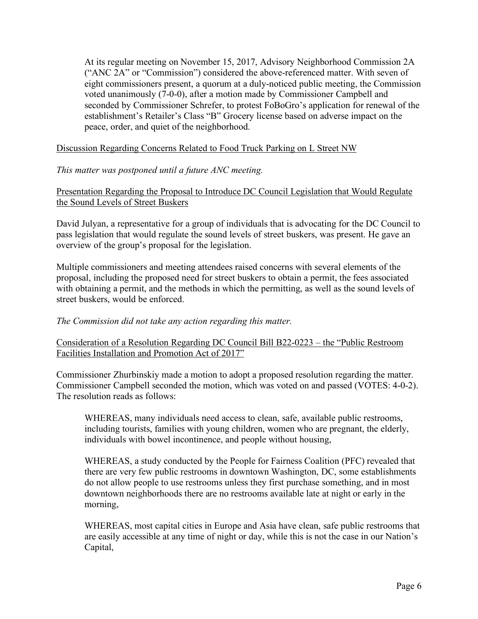At its regular meeting on November 15, 2017, Advisory Neighborhood Commission 2A ("ANC 2A" or "Commission") considered the above-referenced matter. With seven of eight commissioners present, a quorum at a duly-noticed public meeting, the Commission voted unanimously (7-0-0), after a motion made by Commissioner Campbell and seconded by Commissioner Schrefer, to protest FoBoGro's application for renewal of the establishment's Retailer's Class "B" Grocery license based on adverse impact on the peace, order, and quiet of the neighborhood.

## Discussion Regarding Concerns Related to Food Truck Parking on L Street NW

### *This matter was postponed until a future ANC meeting.*

## Presentation Regarding the Proposal to Introduce DC Council Legislation that Would Regulate the Sound Levels of Street Buskers

David Julyan, a representative for a group of individuals that is advocating for the DC Council to pass legislation that would regulate the sound levels of street buskers, was present. He gave an overview of the group's proposal for the legislation.

Multiple commissioners and meeting attendees raised concerns with several elements of the proposal, including the proposed need for street buskers to obtain a permit, the fees associated with obtaining a permit, and the methods in which the permitting, as well as the sound levels of street buskers, would be enforced.

### *The Commission did not take any action regarding this matter.*

## Consideration of a Resolution Regarding DC Council Bill B22-0223 – the "Public Restroom Facilities Installation and Promotion Act of 2017"

Commissioner Zhurbinskiy made a motion to adopt a proposed resolution regarding the matter. Commissioner Campbell seconded the motion, which was voted on and passed (VOTES: 4-0-2). The resolution reads as follows:

WHEREAS, many individuals need access to clean, safe, available public restrooms, including tourists, families with young children, women who are pregnant, the elderly, individuals with bowel incontinence, and people without housing,

WHEREAS, a study conducted by the People for Fairness Coalition (PFC) revealed that there are very few public restrooms in downtown Washington, DC, some establishments do not allow people to use restrooms unless they first purchase something, and in most downtown neighborhoods there are no restrooms available late at night or early in the morning,

WHEREAS, most capital cities in Europe and Asia have clean, safe public restrooms that are easily accessible at any time of night or day, while this is not the case in our Nation's Capital,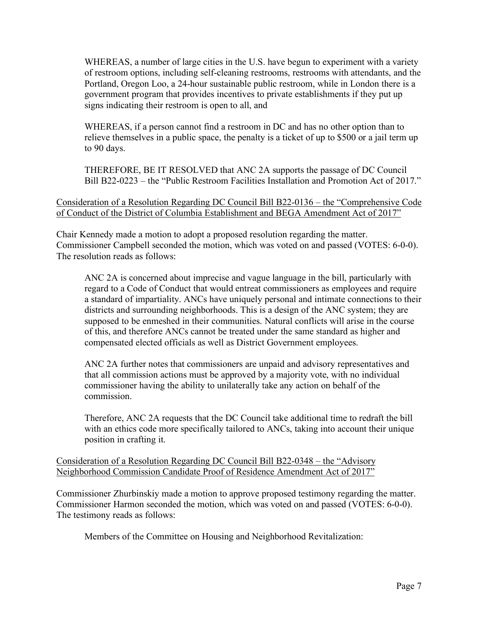WHEREAS, a number of large cities in the U.S. have begun to experiment with a variety of restroom options, including self-cleaning restrooms, restrooms with attendants, and the Portland, Oregon Loo, a 24-hour sustainable public restroom, while in London there is a government program that provides incentives to private establishments if they put up signs indicating their restroom is open to all, and

WHEREAS, if a person cannot find a restroom in DC and has no other option than to relieve themselves in a public space, the penalty is a ticket of up to \$500 or a jail term up to 90 days.

THEREFORE, BE IT RESOLVED that ANC 2A supports the passage of DC Council Bill B22-0223 – the "Public Restroom Facilities Installation and Promotion Act of 2017."

Consideration of a Resolution Regarding DC Council Bill B22-0136 – the "Comprehensive Code of Conduct of the District of Columbia Establishment and BEGA Amendment Act of 2017"

Chair Kennedy made a motion to adopt a proposed resolution regarding the matter. Commissioner Campbell seconded the motion, which was voted on and passed (VOTES: 6-0-0). The resolution reads as follows:

ANC 2A is concerned about imprecise and vague language in the bill, particularly with regard to a Code of Conduct that would entreat commissioners as employees and require a standard of impartiality. ANCs have uniquely personal and intimate connections to their districts and surrounding neighborhoods. This is a design of the ANC system; they are supposed to be enmeshed in their communities. Natural conflicts will arise in the course of this, and therefore ANCs cannot be treated under the same standard as higher and compensated elected officials as well as District Government employees.

ANC 2A further notes that commissioners are unpaid and advisory representatives and that all commission actions must be approved by a majority vote, with no individual commissioner having the ability to unilaterally take any action on behalf of the commission.

Therefore, ANC 2A requests that the DC Council take additional time to redraft the bill with an ethics code more specifically tailored to ANCs, taking into account their unique position in crafting it.

Consideration of a Resolution Regarding DC Council Bill B22-0348 – the "Advisory Neighborhood Commission Candidate Proof of Residence Amendment Act of 2017"

Commissioner Zhurbinskiy made a motion to approve proposed testimony regarding the matter. Commissioner Harmon seconded the motion, which was voted on and passed (VOTES: 6-0-0). The testimony reads as follows:

Members of the Committee on Housing and Neighborhood Revitalization: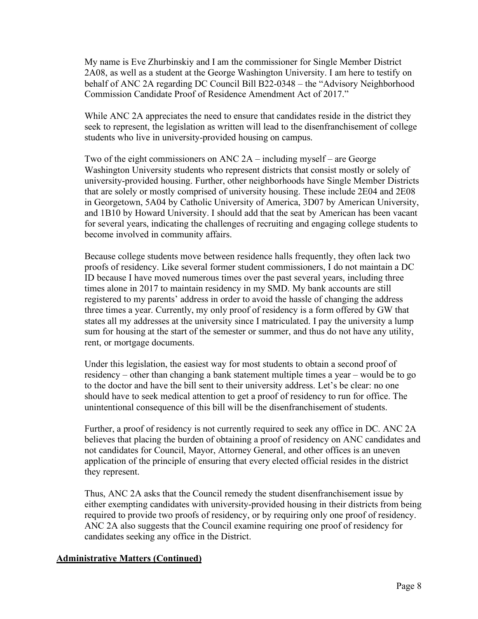My name is Eve Zhurbinskiy and I am the commissioner for Single Member District 2A08, as well as a student at the George Washington University. I am here to testify on behalf of ANC 2A regarding DC Council Bill B22-0348 – the "Advisory Neighborhood Commission Candidate Proof of Residence Amendment Act of 2017."

While ANC 2A appreciates the need to ensure that candidates reside in the district they seek to represent, the legislation as written will lead to the disenfranchisement of college students who live in university-provided housing on campus.

Two of the eight commissioners on ANC 2A – including myself – are George Washington University students who represent districts that consist mostly or solely of university-provided housing. Further, other neighborhoods have Single Member Districts that are solely or mostly comprised of university housing. These include 2E04 and 2E08 in Georgetown, 5A04 by Catholic University of America, 3D07 by American University, and 1B10 by Howard University. I should add that the seat by American has been vacant for several years, indicating the challenges of recruiting and engaging college students to become involved in community affairs.

Because college students move between residence halls frequently, they often lack two proofs of residency. Like several former student commissioners, I do not maintain a DC ID because I have moved numerous times over the past several years, including three times alone in 2017 to maintain residency in my SMD. My bank accounts are still registered to my parents' address in order to avoid the hassle of changing the address three times a year. Currently, my only proof of residency is a form offered by GW that states all my addresses at the university since I matriculated. I pay the university a lump sum for housing at the start of the semester or summer, and thus do not have any utility, rent, or mortgage documents.

Under this legislation, the easiest way for most students to obtain a second proof of residency – other than changing a bank statement multiple times a year – would be to go to the doctor and have the bill sent to their university address. Let's be clear: no one should have to seek medical attention to get a proof of residency to run for office. The unintentional consequence of this bill will be the disenfranchisement of students.

Further, a proof of residency is not currently required to seek any office in DC. ANC 2A believes that placing the burden of obtaining a proof of residency on ANC candidates and not candidates for Council, Mayor, Attorney General, and other offices is an uneven application of the principle of ensuring that every elected official resides in the district they represent.

Thus, ANC 2A asks that the Council remedy the student disenfranchisement issue by either exempting candidates with university-provided housing in their districts from being required to provide two proofs of residency, or by requiring only one proof of residency. ANC 2A also suggests that the Council examine requiring one proof of residency for candidates seeking any office in the District.

## **Administrative Matters (Continued)**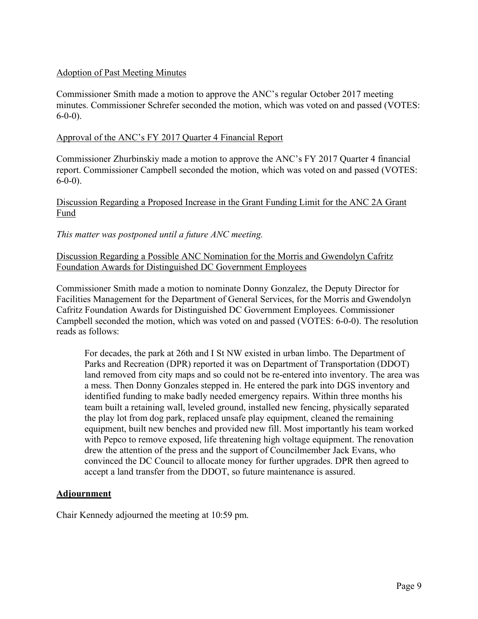## Adoption of Past Meeting Minutes

Commissioner Smith made a motion to approve the ANC's regular October 2017 meeting minutes. Commissioner Schrefer seconded the motion, which was voted on and passed (VOTES: 6-0-0).

### Approval of the ANC's FY 2017 Quarter 4 Financial Report

Commissioner Zhurbinskiy made a motion to approve the ANC's FY 2017 Quarter 4 financial report. Commissioner Campbell seconded the motion, which was voted on and passed (VOTES:  $6-0-0$ ).

# Discussion Regarding a Proposed Increase in the Grant Funding Limit for the ANC 2A Grant Fund

*This matter was postponed until a future ANC meeting.*

## Discussion Regarding a Possible ANC Nomination for the Morris and Gwendolyn Cafritz Foundation Awards for Distinguished DC Government Employees

Commissioner Smith made a motion to nominate Donny Gonzalez, the Deputy Director for Facilities Management for the Department of General Services, for the Morris and Gwendolyn Cafritz Foundation Awards for Distinguished DC Government Employees. Commissioner Campbell seconded the motion, which was voted on and passed (VOTES: 6-0-0). The resolution reads as follows:

For decades, the park at 26th and I St NW existed in urban limbo. The Department of Parks and Recreation (DPR) reported it was on Department of Transportation (DDOT) land removed from city maps and so could not be re-entered into inventory. The area was a mess. Then Donny Gonzales stepped in. He entered the park into DGS inventory and identified funding to make badly needed emergency repairs. Within three months his team built a retaining wall, leveled ground, installed new fencing, physically separated the play lot from dog park, replaced unsafe play equipment, cleaned the remaining equipment, built new benches and provided new fill. Most importantly his team worked with Pepco to remove exposed, life threatening high voltage equipment. The renovation drew the attention of the press and the support of Councilmember Jack Evans, who convinced the DC Council to allocate money for further upgrades. DPR then agreed to accept a land transfer from the DDOT, so future maintenance is assured.

## **Adjournment**

Chair Kennedy adjourned the meeting at 10:59 pm.